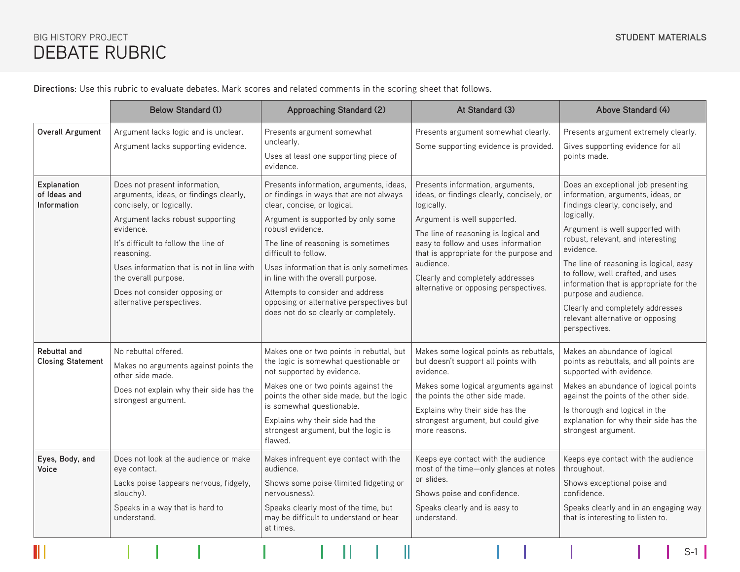## DEBATE RUBRIC BIG HISTORY PROJECT

**Directions**: Use this rubric to evaluate debates. Mark scores and related comments in the scoring sheet that follows.

|                                                 | <b>Below Standard (1)</b>                                                                                                                                                                                                                                                                                                                     | <b>Approaching Standard (2)</b>                                                                                                                                                                                                                                                                                                                                                                                                                    | At Standard (3)                                                                                                                                                                                                                                                                                                                                | Above Standard (4)                                                                                                                                                                                                                                                                                                                                                                                                                                                         |  |
|-------------------------------------------------|-----------------------------------------------------------------------------------------------------------------------------------------------------------------------------------------------------------------------------------------------------------------------------------------------------------------------------------------------|----------------------------------------------------------------------------------------------------------------------------------------------------------------------------------------------------------------------------------------------------------------------------------------------------------------------------------------------------------------------------------------------------------------------------------------------------|------------------------------------------------------------------------------------------------------------------------------------------------------------------------------------------------------------------------------------------------------------------------------------------------------------------------------------------------|----------------------------------------------------------------------------------------------------------------------------------------------------------------------------------------------------------------------------------------------------------------------------------------------------------------------------------------------------------------------------------------------------------------------------------------------------------------------------|--|
| Overall Argument                                | Argument lacks logic and is unclear.<br>Argument lacks supporting evidence.                                                                                                                                                                                                                                                                   | Presents argument somewhat<br>unclearly.<br>Uses at least one supporting piece of<br>evidence.                                                                                                                                                                                                                                                                                                                                                     | Presents argument somewhat clearly.<br>Some supporting evidence is provided.                                                                                                                                                                                                                                                                   | Presents argument extremely clearly.<br>Gives supporting evidence for all<br>points made.                                                                                                                                                                                                                                                                                                                                                                                  |  |
| Explanation<br>of Ideas and<br>Information      | Does not present information,<br>arguments, ideas, or findings clearly,<br>concisely, or logically.<br>Argument lacks robust supporting<br>evidence.<br>It's difficult to follow the line of<br>reasoning.<br>Uses information that is not in line with<br>the overall purpose.<br>Does not consider opposing or<br>alternative perspectives. | Presents information, arguments, ideas,<br>or findings in ways that are not always<br>clear, concise, or logical.<br>Argument is supported by only some<br>robust evidence.<br>The line of reasoning is sometimes<br>difficult to follow.<br>Uses information that is only sometimes<br>in line with the overall purpose.<br>Attempts to consider and address<br>opposing or alternative perspectives but<br>does not do so clearly or completely. | Presents information, arguments,<br>ideas, or findings clearly, concisely, or<br>logically.<br>Argument is well supported.<br>The line of reasoning is logical and<br>easy to follow and uses information<br>that is appropriate for the purpose and<br>audience.<br>Clearly and completely addresses<br>alternative or opposing perspectives. | Does an exceptional job presenting<br>information, arguments, ideas, or<br>findings clearly, concisely, and<br>logically.<br>Argument is well supported with<br>robust, relevant, and interesting<br>evidence.<br>The line of reasoning is logical, easy<br>to follow, well crafted, and uses<br>information that is appropriate for the<br>purpose and audience.<br>Clearly and completely addresses<br>relevant alternative or opposing<br>perspectives.                 |  |
| <b>Rebuttal and</b><br><b>Closing Statement</b> | No rebuttal offered.<br>Makes no arguments against points the<br>other side made.<br>Does not explain why their side has the<br>strongest argument.                                                                                                                                                                                           | Makes one or two points in rebuttal, but<br>the logic is somewhat questionable or<br>not supported by evidence.<br>Makes one or two points against the<br>points the other side made, but the logic<br>is somewhat questionable.<br>Explains why their side had the<br>strongest argument, but the logic is<br>flawed.                                                                                                                             | Makes some logical points as rebuttals,<br>but doesn't support all points with<br>evidence.<br>Makes some logical arguments against<br>the points the other side made.<br>Explains why their side has the<br>strongest argument, but could give<br>more reasons.                                                                               | Makes an abundance of logical<br>points as rebuttals, and all points are<br>supported with evidence.<br>Makes an abundance of logical points<br>against the points of the other side.<br>Is thorough and logical in the<br>explanation for why their side has the<br>strongest argument.<br>Keeps eye contact with the audience<br>throughout.<br>Shows exceptional poise and<br>confidence.<br>Speaks clearly and in an engaging way<br>that is interesting to listen to. |  |
| Eyes, Body, and<br>Voice                        | Does not look at the audience or make<br>eye contact.<br>Lacks poise (appears nervous, fidgety,<br>slouchy).<br>Speaks in a way that is hard to<br>understand.                                                                                                                                                                                | Makes infrequent eye contact with the<br>audience.<br>Shows some poise (limited fidgeting or<br>nervousness).<br>Speaks clearly most of the time, but<br>may be difficult to understand or hear<br>at times.                                                                                                                                                                                                                                       | Keeps eye contact with the audience<br>most of the time-only glances at notes<br>or slides.<br>Shows poise and confidence.<br>Speaks clearly and is easy to<br>understand.                                                                                                                                                                     |                                                                                                                                                                                                                                                                                                                                                                                                                                                                            |  |
|                                                 |                                                                                                                                                                                                                                                                                                                                               |                                                                                                                                                                                                                                                                                                                                                                                                                                                    |                                                                                                                                                                                                                                                                                                                                                | $S-1$                                                                                                                                                                                                                                                                                                                                                                                                                                                                      |  |